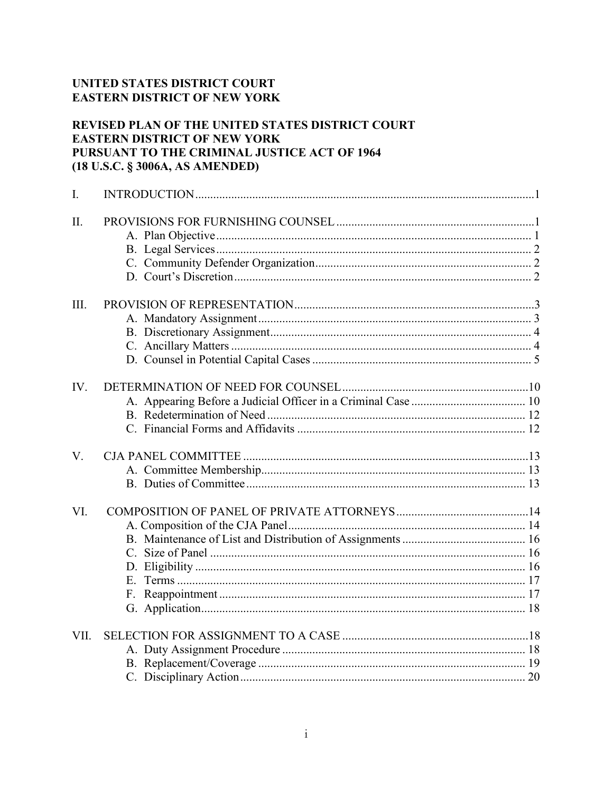# UNITED STATES DISTRICT COURT **EASTERN DISTRICT OF NEW YORK**

# REVISED PLAN OF THE UNITED STATES DISTRICT COURT **EASTERN DISTRICT OF NEW YORK** PURSUANT TO THE CRIMINAL JUSTICE ACT OF 1964 (18 U.S.C. § 3006A, AS AMENDED)

| I.   |  |
|------|--|
| II.  |  |
| III. |  |
| IV.  |  |
| V.   |  |
| VI.  |  |
| VII. |  |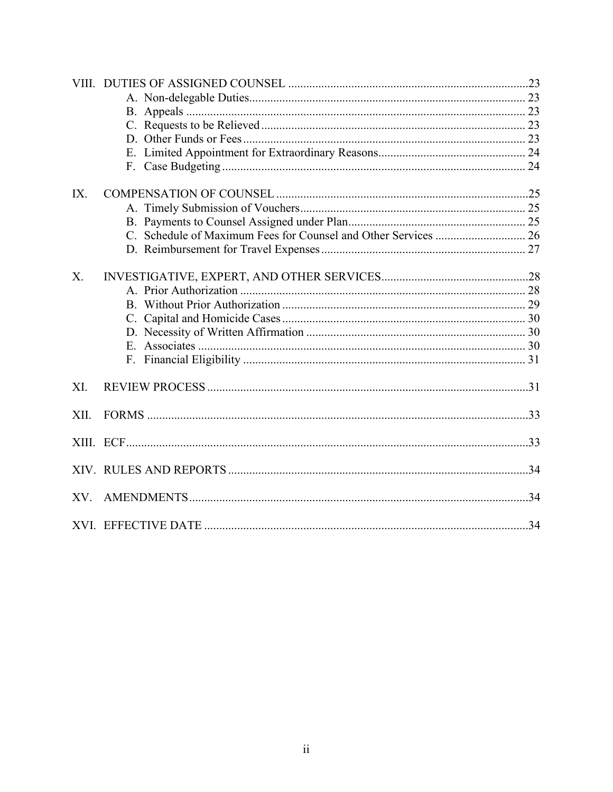| IX.            |  |
|----------------|--|
|                |  |
|                |  |
|                |  |
|                |  |
| X <sub>1</sub> |  |
|                |  |
|                |  |
|                |  |
|                |  |
|                |  |
|                |  |
| XI.            |  |
|                |  |
| XII.           |  |
|                |  |
|                |  |
|                |  |
| XV.            |  |
|                |  |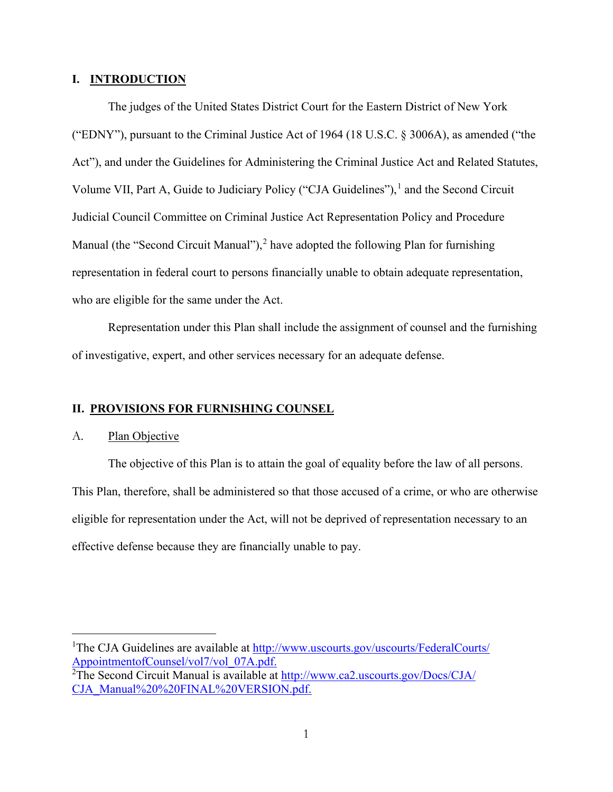### <span id="page-2-0"></span>**I. INTRODUCTION**

The judges of the United States District Court for the Eastern District of New York ("EDNY"), pursuant to the Criminal Justice Act of 1964 (18 U.S.C. § 3006A), as amended ("the Act"), and under the Guidelines for Administering the Criminal Justice Act and Related Statutes, Volume VII, Part A, Guide to Judiciary Policy ("CJA Guidelines"),<sup>[1](#page-2-3)</sup> and the Second Circuit Judicial Council Committee on Criminal Justice Act Representation Policy and Procedure Manual (the "Second Circuit Manual"),<sup>[2](#page-2-4)</sup> have adopted the following Plan for furnishing representation in federal court to persons financially unable to obtain adequate representation, who are eligible for the same under the Act.

Representation under this Plan shall include the assignment of counsel and the furnishing of investigative, expert, and other services necessary for an adequate defense.

### <span id="page-2-1"></span>**II. PROVISIONS FOR FURNISHING COUNSEL**

### <span id="page-2-2"></span>A. Plan Objective

The objective of this Plan is to attain the goal of equality before the law of all persons. This Plan, therefore, shall be administered so that those accused of a crime, or who are otherwise eligible for representation under the Act, will not be deprived of representation necessary to an effective defense because they are financially unable to pay.

<span id="page-2-3"></span><sup>&</sup>lt;sup>1</sup>The CJA Guidelines are available at [http://www.uscourts.gov/uscourts/FederalCourts/](http://www.uscourts.gov/uscourts/FederalCourts/AppointmentofCounsel/vol7/vol_07A.pdf) [AppointmentofCounsel/vol7/vol\\_07A.pdf.](http://www.uscourts.gov/uscourts/FederalCourts/AppointmentofCounsel/vol7/vol_07A.pdf)

<span id="page-2-4"></span><sup>&</sup>lt;sup>2</sup>The Second Circuit Manual is available at [http://www.ca2.uscourts.gov/Docs/CJA/](http://www.ca2.uscourts.gov/Docs/CJA/CJA_Manual%20%20FINAL%20VERSION.pdf) [CJA\\_Manual%20%20FINAL%20VERSION.pdf.](http://www.ca2.uscourts.gov/Docs/CJA/CJA_Manual%20%20FINAL%20VERSION.pdf)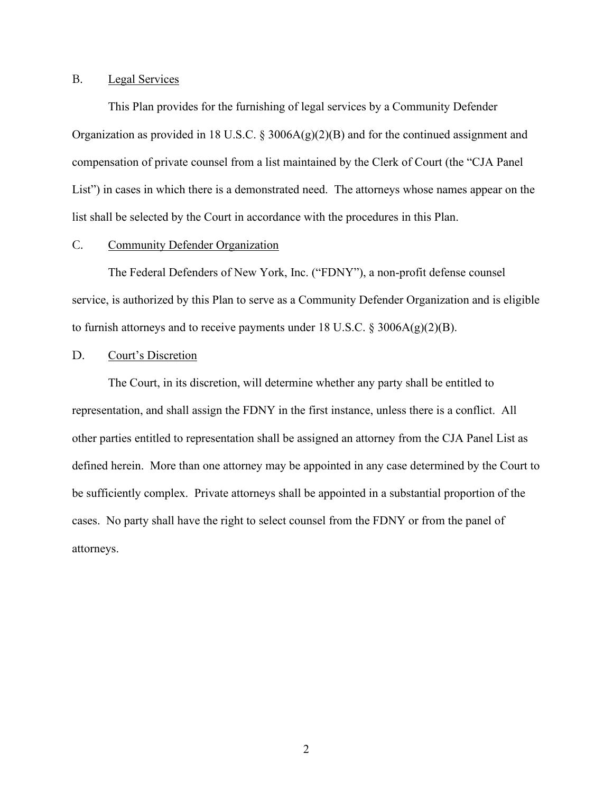## <span id="page-3-0"></span>B. Legal Services

This Plan provides for the furnishing of legal services by a Community Defender Organization as provided in 18 U.S.C. § 3006A $(g)(2)(B)$  and for the continued assignment and compensation of private counsel from a list maintained by the Clerk of Court (the "CJA Panel List") in cases in which there is a demonstrated need. The attorneys whose names appear on the list shall be selected by the Court in accordance with the procedures in this Plan.

### <span id="page-3-1"></span>C. Community Defender Organization

The Federal Defenders of New York, Inc. ("FDNY"), a non-profit defense counsel service, is authorized by this Plan to serve as a Community Defender Organization and is eligible to furnish attorneys and to receive payments under 18 U.S.C.  $\S 3006A(g)(2)(B)$ .

#### <span id="page-3-2"></span>D. Court's Discretion

The Court, in its discretion, will determine whether any party shall be entitled to representation, and shall assign the FDNY in the first instance, unless there is a conflict. All other parties entitled to representation shall be assigned an attorney from the CJA Panel List as defined herein. More than one attorney may be appointed in any case determined by the Court to be sufficiently complex. Private attorneys shall be appointed in a substantial proportion of the cases. No party shall have the right to select counsel from the FDNY or from the panel of attorneys.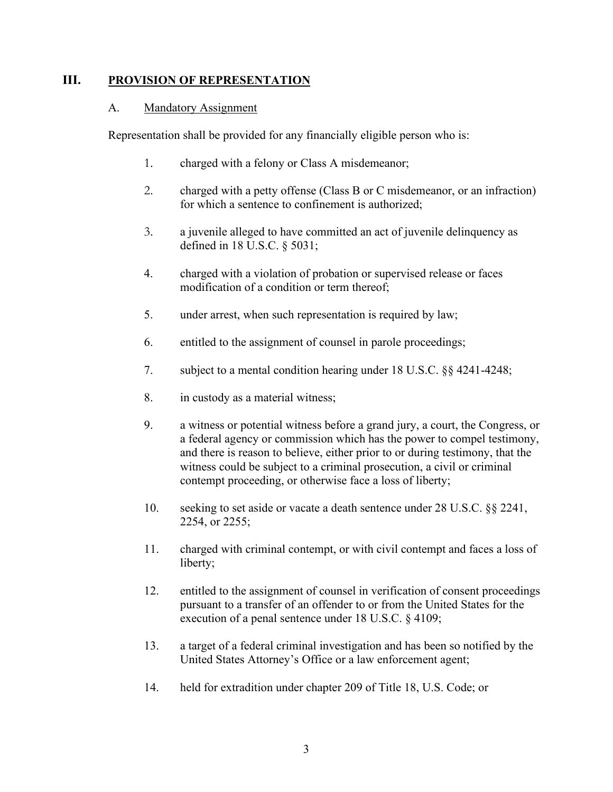# <span id="page-4-1"></span><span id="page-4-0"></span>**III. PROVISION OF REPRESENTATION**

## A. Mandatory Assignment

Representation shall be provided for any financially eligible person who is:

- 1. charged with a felony or Class A misdemeanor;
- 2. charged with a petty offense (Class B or C misdemeanor, or an infraction) for which a sentence to confinement is authorized;
- 3. a juvenile alleged to have committed an act of juvenile delinquency as defined in 18 U.S.C. § 5031;
- 4. charged with a violation of probation or supervised release or faces modification of a condition or term thereof;
- 5. under arrest, when such representation is required by law;
- 6. entitled to the assignment of counsel in parole proceedings;
- 7. subject to a mental condition hearing under 18 U.S.C. §§ 4241-4248;
- 8. in custody as a material witness;
- 9. a witness or potential witness before a grand jury, a court, the Congress, or a federal agency or commission which has the power to compel testimony, and there is reason to believe, either prior to or during testimony, that the witness could be subject to a criminal prosecution, a civil or criminal contempt proceeding, or otherwise face a loss of liberty;
- 10. seeking to set aside or vacate a death sentence under 28 U.S.C. §§ 2241, 2254, or 2255;
- 11. charged with criminal contempt, or with civil contempt and faces a loss of liberty;
- 12. entitled to the assignment of counsel in verification of consent proceedings pursuant to a transfer of an offender to or from the United States for the execution of a penal sentence under 18 U.S.C. § 4109;
- 13. a target of a federal criminal investigation and has been so notified by the United States Attorney's Office or a law enforcement agent;
- 14. held for extradition under chapter 209 of Title 18, U.S. Code; or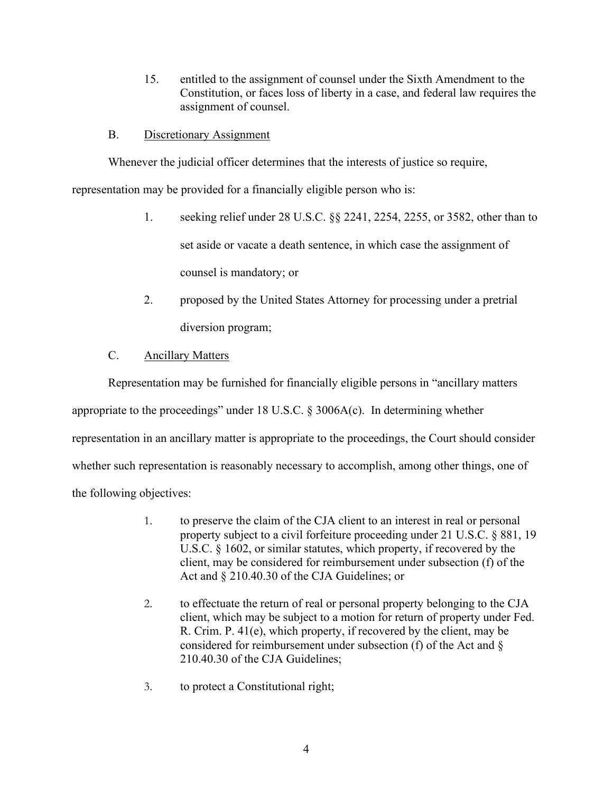15. entitled to the assignment of counsel under the Sixth Amendment to the Constitution, or faces loss of liberty in a case, and federal law requires the assignment of counsel.

## <span id="page-5-0"></span>B. Discretionary Assignment

Whenever the judicial officer determines that the interests of justice so require,

representation may be provided for a financially eligible person who is:

- 1. seeking relief under 28 U.S.C. §§ 2241, 2254, 2255, or 3582, other than to set aside or vacate a death sentence, in which case the assignment of counsel is mandatory; or
- 2. proposed by the United States Attorney for processing under a pretrial diversion program;

# C. Ancillary Matters

<span id="page-5-1"></span>Representation may be furnished for financially eligible persons in "ancillary matters appropriate to the proceedings" under 18 U.S.C.  $\S$  3006A(c). In determining whether representation in an ancillary matter is appropriate to the proceedings, the Court should consider whether such representation is reasonably necessary to accomplish, among other things, one of the following objectives:

- 1. to preserve the claim of the CJA client to an interest in real or personal property subject to a civil forfeiture proceeding under 21 U.S.C. § 881, 19 U.S.C. § 1602, or similar statutes, which property, if recovered by the client, may be considered for reimbursement under subsection (f) of the Act and § 210.40.30 of the CJA Guidelines; or
- 2. to effectuate the return of real or personal property belonging to the CJA client, which may be subject to a motion for return of property under Fed. R. Crim. P. 41(e), which property, if recovered by the client, may be considered for reimbursement under subsection (f) of the Act and § 210.40.30 of the CJA Guidelines;
- 3. to protect a Constitutional right;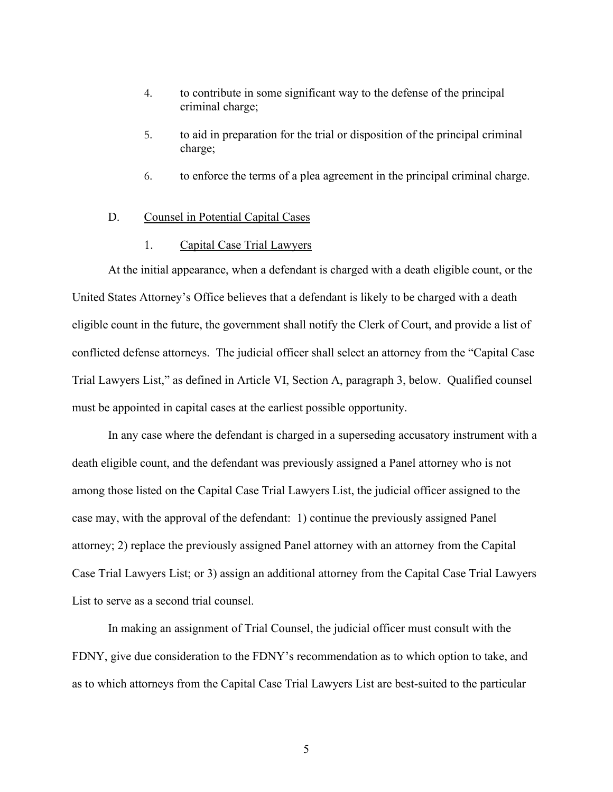- 4. to contribute in some significant way to the defense of the principal criminal charge;
- 5. to aid in preparation for the trial or disposition of the principal criminal charge;
- 6. to enforce the terms of a plea agreement in the principal criminal charge.

### <span id="page-6-0"></span>D. Counsel in Potential Capital Cases

#### 1. Capital Case Trial Lawyers

At the initial appearance, when a defendant is charged with a death eligible count, or the United States Attorney's Office believes that a defendant is likely to be charged with a death eligible count in the future, the government shall notify the Clerk of Court, and provide a list of conflicted defense attorneys. The judicial officer shall select an attorney from the "Capital Case Trial Lawyers List," as defined in Article VI, Section A, paragraph 3, below. Qualified counsel must be appointed in capital cases at the earliest possible opportunity.

In any case where the defendant is charged in a superseding accusatory instrument with a death eligible count, and the defendant was previously assigned a Panel attorney who is not among those listed on the Capital Case Trial Lawyers List, the judicial officer assigned to the case may, with the approval of the defendant: 1) continue the previously assigned Panel attorney; 2) replace the previously assigned Panel attorney with an attorney from the Capital Case Trial Lawyers List; or 3) assign an additional attorney from the Capital Case Trial Lawyers List to serve as a second trial counsel.

In making an assignment of Trial Counsel, the judicial officer must consult with the FDNY, give due consideration to the FDNY's recommendation as to which option to take, and as to which attorneys from the Capital Case Trial Lawyers List are best-suited to the particular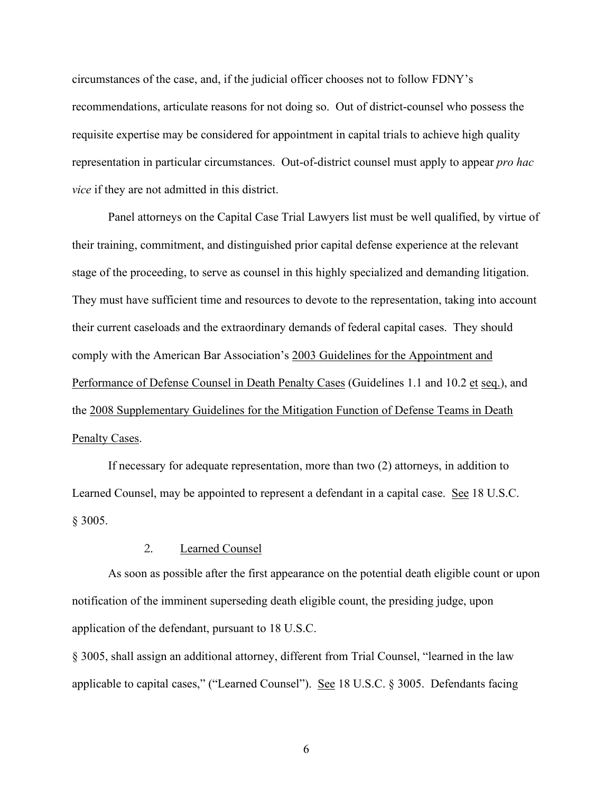circumstances of the case, and, if the judicial officer chooses not to follow FDNY's recommendations, articulate reasons for not doing so. Out of district-counsel who possess the requisite expertise may be considered for appointment in capital trials to achieve high quality representation in particular circumstances. Out-of-district counsel must apply to appear *pro hac vice* if they are not admitted in this district.

Panel attorneys on the Capital Case Trial Lawyers list must be well qualified, by virtue of their training, commitment, and distinguished prior capital defense experience at the relevant stage of the proceeding, to serve as counsel in this highly specialized and demanding litigation. They must have sufficient time and resources to devote to the representation, taking into account their current caseloads and the extraordinary demands of federal capital cases. They should comply with the American Bar Association's 2003 Guidelines for the Appointment and Performance of Defense Counsel in Death Penalty Cases (Guidelines 1.1 and 10.2 et seq.), and the 2008 Supplementary Guidelines for the Mitigation Function of Defense Teams in Death Penalty Cases.

If necessary for adequate representation, more than two (2) attorneys, in addition to Learned Counsel, may be appointed to represent a defendant in a capital case. See 18 U.S.C. § 3005.

## 2. Learned Counsel

As soon as possible after the first appearance on the potential death eligible count or upon notification of the imminent superseding death eligible count, the presiding judge, upon application of the defendant, pursuant to 18 U.S.C.

§ 3005, shall assign an additional attorney, different from Trial Counsel, "learned in the law applicable to capital cases," ("Learned Counsel"). See 18 U.S.C. § 3005. Defendants facing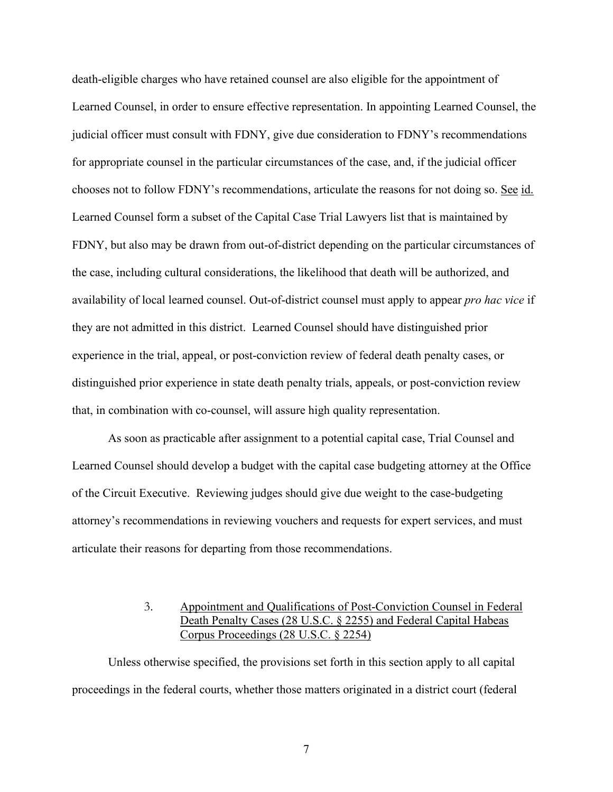death-eligible charges who have retained counsel are also eligible for the appointment of Learned Counsel, in order to ensure effective representation. In appointing Learned Counsel, the judicial officer must consult with FDNY, give due consideration to FDNY's recommendations for appropriate counsel in the particular circumstances of the case, and, if the judicial officer chooses not to follow FDNY's recommendations, articulate the reasons for not doing so. See id. Learned Counsel form a subset of the Capital Case Trial Lawyers list that is maintained by FDNY, but also may be drawn from out-of-district depending on the particular circumstances of the case, including cultural considerations, the likelihood that death will be authorized, and availability of local learned counsel. Out-of-district counsel must apply to appear *pro hac vice* if they are not admitted in this district. Learned Counsel should have distinguished prior experience in the trial, appeal, or post-conviction review of federal death penalty cases, or distinguished prior experience in state death penalty trials, appeals, or post-conviction review that, in combination with co-counsel, will assure high quality representation.

As soon as practicable after assignment to a potential capital case, Trial Counsel and Learned Counsel should develop a budget with the capital case budgeting attorney at the Office of the Circuit Executive. Reviewing judges should give due weight to the case-budgeting attorney's recommendations in reviewing vouchers and requests for expert services, and must articulate their reasons for departing from those recommendations.

# 3. Appointment and Qualifications of Post-Conviction Counsel in Federal Death Penalty Cases (28 U.S.C. § 2255) and Federal Capital Habeas Corpus Proceedings (28 U.S.C. § 2254)

Unless otherwise specified, the provisions set forth in this section apply to all capital proceedings in the federal courts, whether those matters originated in a district court (federal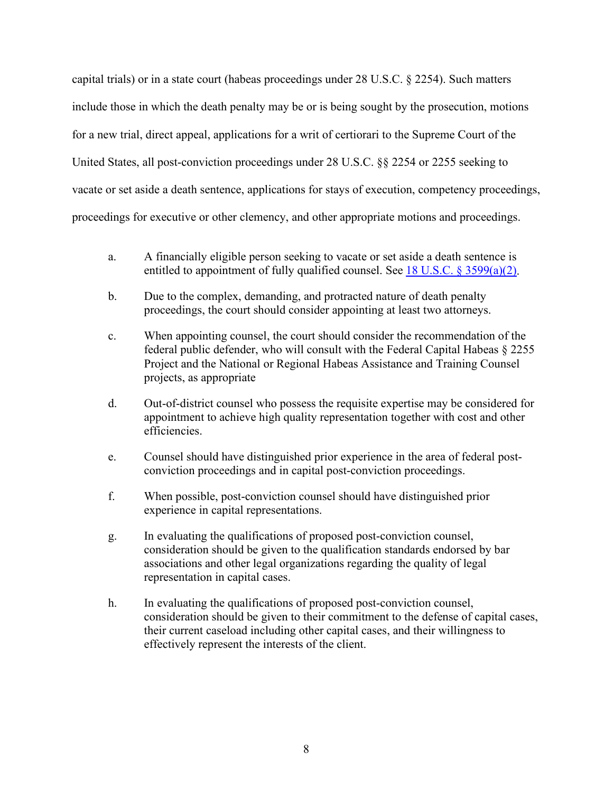capital trials) or in a state court (habeas proceedings under 28 U.S.C. § 2254). Such matters include those in which the death penalty may be or is being sought by the prosecution, motions for a new trial, direct appeal, applications for a writ of certiorari to the Supreme Court of the United States, all post-conviction proceedings under 28 U.S.C. §§ 2254 or 2255 seeking to vacate or set aside a death sentence, applications for stays of execution, competency proceedings, proceedings for executive or other clemency, and other appropriate motions and proceedings.

- a. A financially eligible person seeking to vacate or set aside a death sentence is entitled to appointment of fully qualified counsel. See 18 U.S.C.  $\S$  [3599\(a\)\(2\).](https://www.law.cornell.edu/uscode/text/18/3599#a_2)
- b. Due to the complex, demanding, and protracted nature of death penalty proceedings, the court should consider appointing at least two attorneys.
- c. When appointing counsel, the court should consider the recommendation of the federal public defender, who will consult with the Federal Capital Habeas § 2255 Project and the National or Regional Habeas Assistance and Training Counsel projects, as appropriate
- d. Out-of-district counsel who possess the requisite expertise may be considered for appointment to achieve high quality representation together with cost and other efficiencies.
- e. Counsel should have distinguished prior experience in the area of federal postconviction proceedings and in capital post-conviction proceedings.
- f. When possible, post-conviction counsel should have distinguished prior experience in capital representations.
- g. In evaluating the qualifications of proposed post-conviction counsel, consideration should be given to the qualification standards endorsed by bar associations and other legal organizations regarding the quality of legal representation in capital cases.
- h. In evaluating the qualifications of proposed post-conviction counsel, consideration should be given to their commitment to the defense of capital cases, their current caseload including other capital cases, and their willingness to effectively represent the interests of the client.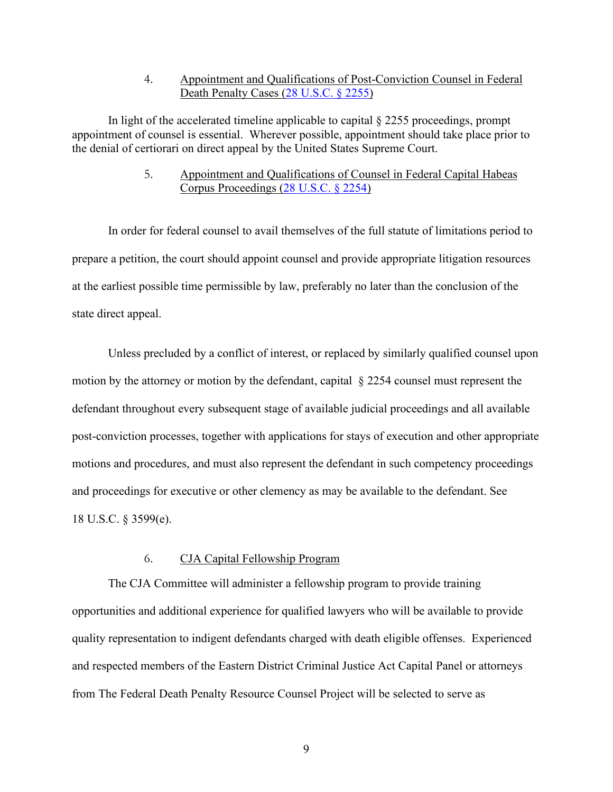## 4. Appointment and Qualifications of Post-Conviction Counsel in Federal Death Penalty Cases (28 [U.S.C. §](https://www.law.cornell.edu/uscode/text/28/2255) 2255)

In light of the accelerated timeline applicable to capital  $\S$  2255 proceedings, prompt appointment of counsel is essential. Wherever possible, appointment should take place prior to the denial of certiorari on direct appeal by the United States Supreme Court.

## 5. Appointment and Qualifications of Counsel in Federal Capital Habeas Corpus Proceedings (28 [U.S.C. §](https://www.law.cornell.edu/uscode/text/28/2254) 2254)

In order for federal counsel to avail themselves of the full statute of limitations period to prepare a petition, the court should appoint counsel and provide appropriate litigation resources at the earliest possible time permissible by law, preferably no later than the conclusion of the state direct appeal.

Unless precluded by a conflict of interest, or replaced by similarly qualified counsel upon motion by the attorney or motion by the defendant, capital § 2254 counsel must represent the defendant throughout every subsequent stage of available judicial proceedings and all available post-conviction processes, together with applications for stays of execution and other appropriate motions and procedures, and must also represent the defendant in such competency proceedings and proceedings for executive or other clemency as may be available to the defendant. See 18 U.S.C. § 3599(e).

## 6. CJA Capital Fellowship Program

The CJA Committee will administer a fellowship program to provide training opportunities and additional experience for qualified lawyers who will be available to provide quality representation to indigent defendants charged with death eligible offenses. Experienced and respected members of the Eastern District Criminal Justice Act Capital Panel or attorneys from The Federal Death Penalty Resource Counsel Project will be selected to serve as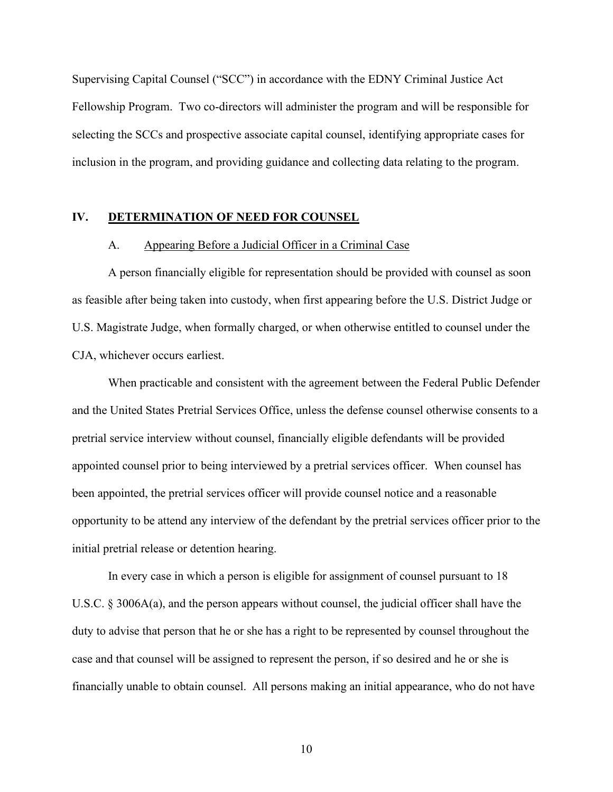Supervising Capital Counsel ("SCC") in accordance with the EDNY Criminal Justice Act Fellowship Program. Two co-directors will administer the program and will be responsible for selecting the SCCs and prospective associate capital counsel, identifying appropriate cases for inclusion in the program, and providing guidance and collecting data relating to the program.

#### <span id="page-11-1"></span><span id="page-11-0"></span>**IV. DETERMINATION OF NEED FOR COUNSEL**

#### A. Appearing Before a Judicial Officer in a Criminal Case

A person financially eligible for representation should be provided with counsel as soon as feasible after being taken into custody, when first appearing before the U.S. District Judge or U.S. Magistrate Judge, when formally charged, or when otherwise entitled to counsel under the CJA, whichever occurs earliest.

When practicable and consistent with the agreement between the Federal Public Defender and the United States Pretrial Services Office, unless the defense counsel otherwise consents to a pretrial service interview without counsel, financially eligible defendants will be provided appointed counsel prior to being interviewed by a pretrial services officer. When counsel has been appointed, the pretrial services officer will provide counsel notice and a reasonable opportunity to be attend any interview of the defendant by the pretrial services officer prior to the initial pretrial release or detention hearing.

In every case in which a person is eligible for assignment of counsel pursuant to 18 U.S.C. § 3006A(a), and the person appears without counsel, the judicial officer shall have the duty to advise that person that he or she has a right to be represented by counsel throughout the case and that counsel will be assigned to represent the person, if so desired and he or she is financially unable to obtain counsel. All persons making an initial appearance, who do not have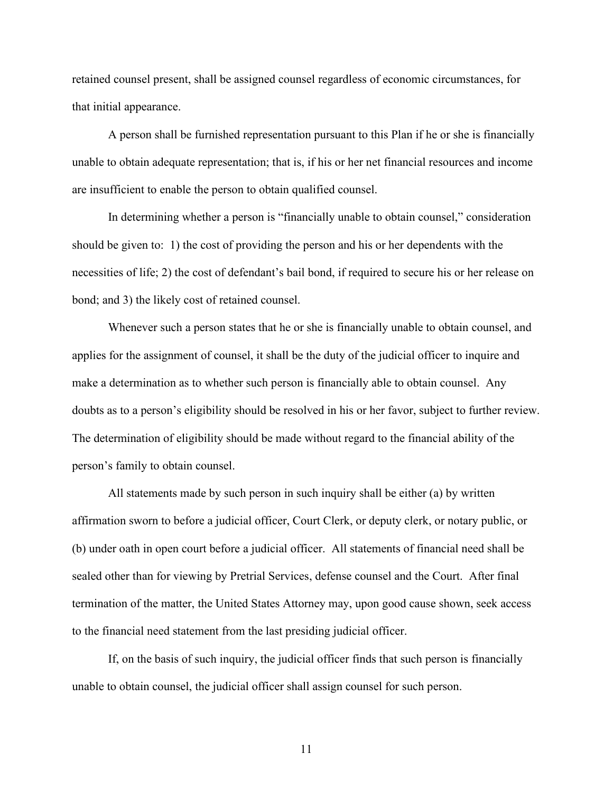retained counsel present, shall be assigned counsel regardless of economic circumstances, for that initial appearance.

A person shall be furnished representation pursuant to this Plan if he or she is financially unable to obtain adequate representation; that is, if his or her net financial resources and income are insufficient to enable the person to obtain qualified counsel.

In determining whether a person is "financially unable to obtain counsel," consideration should be given to: 1) the cost of providing the person and his or her dependents with the necessities of life; 2) the cost of defendant's bail bond, if required to secure his or her release on bond; and 3) the likely cost of retained counsel.

Whenever such a person states that he or she is financially unable to obtain counsel, and applies for the assignment of counsel, it shall be the duty of the judicial officer to inquire and make a determination as to whether such person is financially able to obtain counsel. Any doubts as to a person's eligibility should be resolved in his or her favor, subject to further review. The determination of eligibility should be made without regard to the financial ability of the person's family to obtain counsel.

All statements made by such person in such inquiry shall be either (a) by written affirmation sworn to before a judicial officer, Court Clerk, or deputy clerk, or notary public, or (b) under oath in open court before a judicial officer. All statements of financial need shall be sealed other than for viewing by Pretrial Services, defense counsel and the Court. After final termination of the matter, the United States Attorney may, upon good cause shown, seek access to the financial need statement from the last presiding judicial officer.

If, on the basis of such inquiry, the judicial officer finds that such person is financially unable to obtain counsel, the judicial officer shall assign counsel for such person.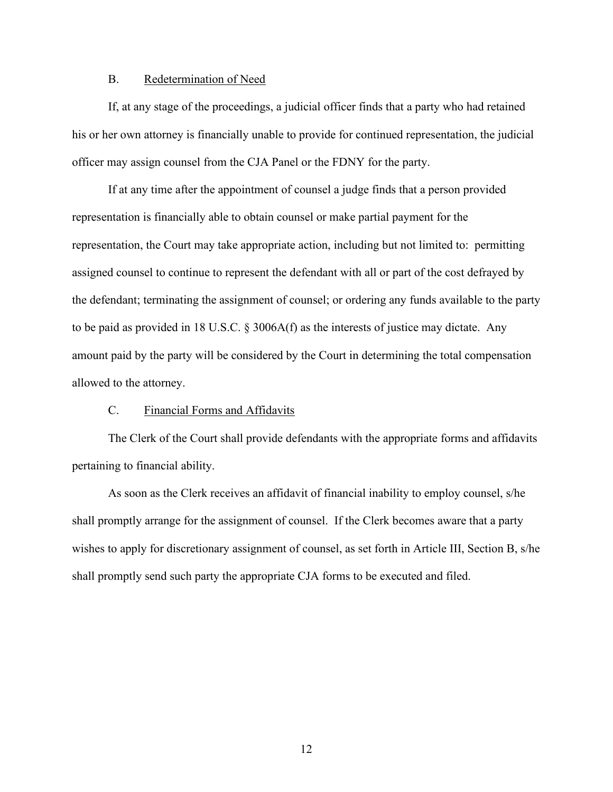## B. Redetermination of Need

<span id="page-13-0"></span>If, at any stage of the proceedings, a judicial officer finds that a party who had retained his or her own attorney is financially unable to provide for continued representation, the judicial officer may assign counsel from the CJA Panel or the FDNY for the party.

If at any time after the appointment of counsel a judge finds that a person provided representation is financially able to obtain counsel or make partial payment for the representation, the Court may take appropriate action, including but not limited to: permitting assigned counsel to continue to represent the defendant with all or part of the cost defrayed by the defendant; terminating the assignment of counsel; or ordering any funds available to the party to be paid as provided in 18 U.S.C. § 3006A(f) as the interests of justice may dictate. Any amount paid by the party will be considered by the Court in determining the total compensation allowed to the attorney.

## C. Financial Forms and Affidavits

<span id="page-13-1"></span>The Clerk of the Court shall provide defendants with the appropriate forms and affidavits pertaining to financial ability.

As soon as the Clerk receives an affidavit of financial inability to employ counsel, s/he shall promptly arrange for the assignment of counsel. If the Clerk becomes aware that a party wishes to apply for discretionary assignment of counsel, as set forth in Article III, Section B, s/he shall promptly send such party the appropriate CJA forms to be executed and filed.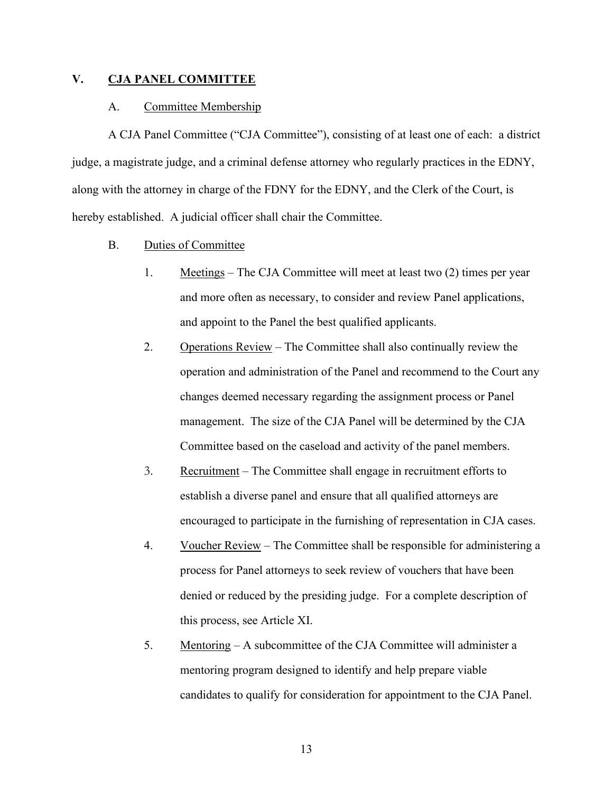## <span id="page-14-1"></span><span id="page-14-0"></span>**V. CJA PANEL COMMITTEE**

#### A. Committee Membership

A CJA Panel Committee ("CJA Committee"), consisting of at least one of each: a district judge, a magistrate judge, and a criminal defense attorney who regularly practices in the EDNY, along with the attorney in charge of the FDNY for the EDNY, and the Clerk of the Court, is hereby established. A judicial officer shall chair the Committee.

- <span id="page-14-2"></span>B. Duties of Committee
	- 1. Meetings The CJA Committee will meet at least two (2) times per year and more often as necessary, to consider and review Panel applications, and appoint to the Panel the best qualified applicants.
	- 2. Operations Review The Committee shall also continually review the operation and administration of the Panel and recommend to the Court any changes deemed necessary regarding the assignment process or Panel management. The size of the CJA Panel will be determined by the CJA Committee based on the caseload and activity of the panel members.
	- 3. Recruitment The Committee shall engage in recruitment efforts to establish a diverse panel and ensure that all qualified attorneys are encouraged to participate in the furnishing of representation in CJA cases.
	- 4. Voucher Review The Committee shall be responsible for administering a process for Panel attorneys to seek review of vouchers that have been denied or reduced by the presiding judge. For a complete description of this process, see Article XI.
	- 5. Mentoring A subcommittee of the CJA Committee will administer a mentoring program designed to identify and help prepare viable candidates to qualify for consideration for appointment to the CJA Panel.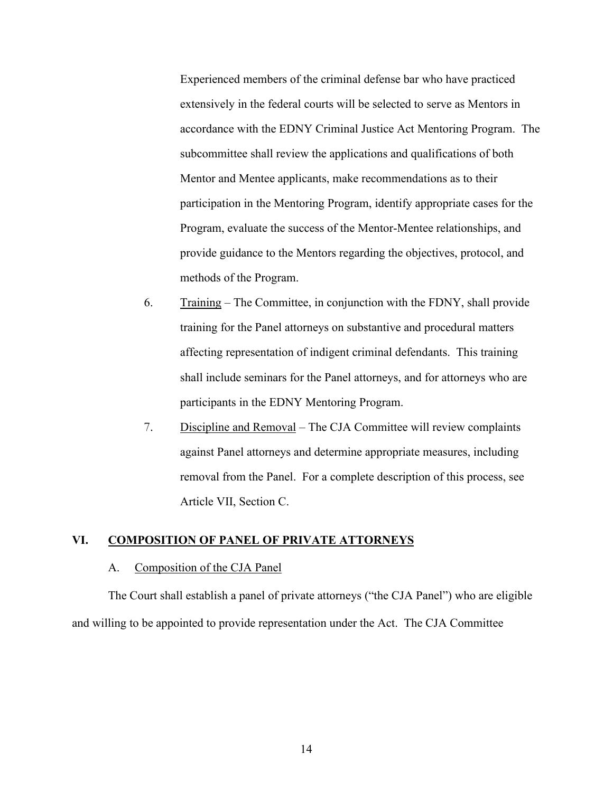Experienced members of the criminal defense bar who have practiced extensively in the federal courts will be selected to serve as Mentors in accordance with the EDNY Criminal Justice Act Mentoring Program. The subcommittee shall review the applications and qualifications of both Mentor and Mentee applicants, make recommendations as to their participation in the Mentoring Program, identify appropriate cases for the Program, evaluate the success of the Mentor-Mentee relationships, and provide guidance to the Mentors regarding the objectives, protocol, and methods of the Program.

- 6. Training The Committee, in conjunction with the FDNY, shall provide training for the Panel attorneys on substantive and procedural matters affecting representation of indigent criminal defendants. This training shall include seminars for the Panel attorneys, and for attorneys who are participants in the EDNY Mentoring Program.
- 7. Discipline and Removal The CJA Committee will review complaints against Panel attorneys and determine appropriate measures, including removal from the Panel. For a complete description of this process, see Article VII, Section C.

## <span id="page-15-1"></span><span id="page-15-0"></span>**VI. COMPOSITION OF PANEL OF PRIVATE ATTORNEYS**

#### A.Composition of the CJA Panel

The Court shall establish a panel of private attorneys ("the CJA Panel") who are eligible and willing to be appointed to provide representation under the Act. The CJA Committee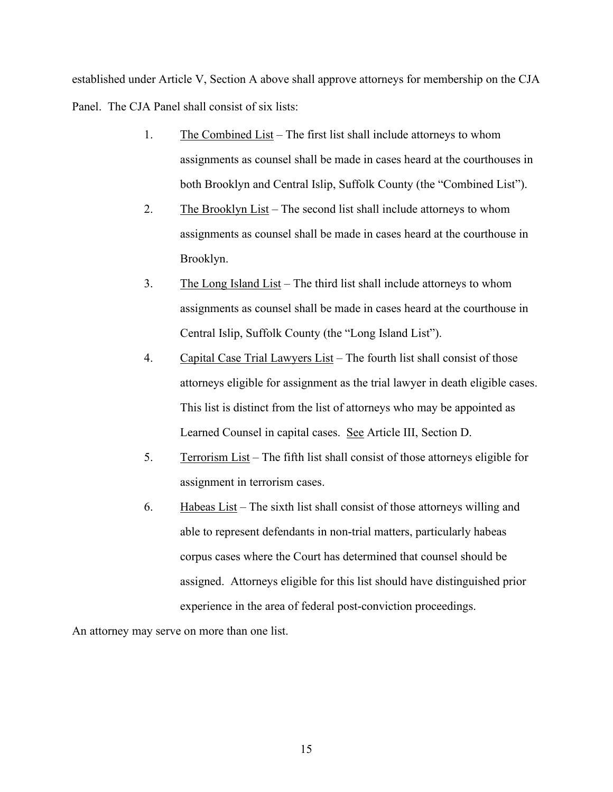established under Article V, Section A above shall approve attorneys for membership on the CJA Panel. The CJA Panel shall consist of six lists:

- 1. The Combined List The first list shall include attorneys to whom assignments as counsel shall be made in cases heard at the courthouses in both Brooklyn and Central Islip, Suffolk County (the "Combined List").
- 2. The Brooklyn List The second list shall include attorneys to whom assignments as counsel shall be made in cases heard at the courthouse in Brooklyn.
- 3. The Long Island List The third list shall include attorneys to whom assignments as counsel shall be made in cases heard at the courthouse in Central Islip, Suffolk County (the "Long Island List").
- 4. Capital Case Trial Lawyers List The fourth list shall consist of those attorneys eligible for assignment as the trial lawyer in death eligible cases. This list is distinct from the list of attorneys who may be appointed as Learned Counsel in capital cases. See Article III, Section D.
- 5. Terrorism List The fifth list shall consist of those attorneys eligible for assignment in terrorism cases.
- 6. Habeas List The sixth list shall consist of those attorneys willing and able to represent defendants in non-trial matters, particularly habeas corpus cases where the Court has determined that counsel should be assigned. Attorneys eligible for this list should have distinguished prior experience in the area of federal post-conviction proceedings.

An attorney may serve on more than one list.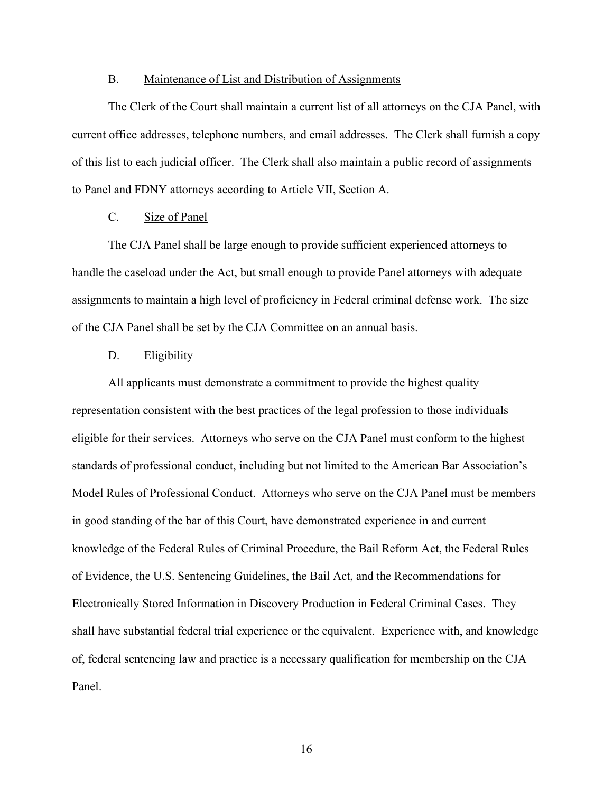#### B. Maintenance of List and Distribution of Assignments

<span id="page-17-0"></span>The Clerk of the Court shall maintain a current list of all attorneys on the CJA Panel, with current office addresses, telephone numbers, and email addresses. The Clerk shall furnish a copy of this list to each judicial officer. The Clerk shall also maintain a public record of assignments to Panel and FDNY attorneys according to Article VII, Section A.

### C. Size of Panel

<span id="page-17-1"></span>The CJA Panel shall be large enough to provide sufficient experienced attorneys to handle the caseload under the Act, but small enough to provide Panel attorneys with adequate assignments to maintain a high level of proficiency in Federal criminal defense work. The size of the CJA Panel shall be set by the CJA Committee on an annual basis.

### D. Eligibility

<span id="page-17-2"></span>All applicants must demonstrate a commitment to provide the highest quality representation consistent with the best practices of the legal profession to those individuals eligible for their services. Attorneys who serve on the CJA Panel must conform to the highest standards of professional conduct, including but not limited to the American Bar Association's Model Rules of Professional Conduct. Attorneys who serve on the CJA Panel must be members in good standing of the bar of this Court, have demonstrated experience in and current knowledge of the Federal Rules of Criminal Procedure, the Bail Reform Act, the Federal Rules of Evidence, the U.S. Sentencing Guidelines, the Bail Act, and the Recommendations for Electronically Stored Information in Discovery Production in Federal Criminal Cases. They shall have substantial federal trial experience or the equivalent. Experience with, and knowledge of, federal sentencing law and practice is a necessary qualification for membership on the CJA Panel.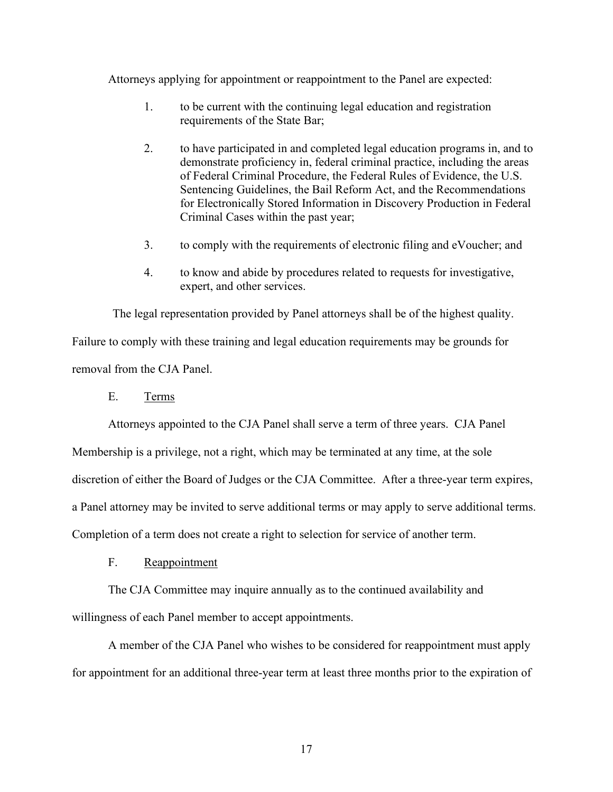Attorneys applying for appointment or reappointment to the Panel are expected:

- 1. to be current with the continuing legal education and registration requirements of the State Bar;
- 2. to have participated in and completed legal education programs in, and to demonstrate proficiency in, federal criminal practice, including the areas of Federal Criminal Procedure, the Federal Rules of Evidence, the U.S. Sentencing Guidelines, the Bail Reform Act, and the Recommendations for Electronically Stored Information in Discovery Production in Federal Criminal Cases within the past year;
- 3. to comply with the requirements of electronic filing and eVoucher; and
- 4. to know and abide by procedures related to requests for investigative, expert, and other services.

The legal representation provided by Panel attorneys shall be of the highest quality. Failure to comply with these training and legal education requirements may be grounds for removal from the CJA Panel.

<span id="page-18-0"></span>E. Terms

Attorneys appointed to the CJA Panel shall serve a term of three years. CJA Panel

Membership is a privilege, not a right, which may be terminated at any time, at the sole

discretion of either the Board of Judges or the CJA Committee. After a three-year term expires,

a Panel attorney may be invited to serve additional terms or may apply to serve additional terms.

<span id="page-18-1"></span>Completion of a term does not create a right to selection for service of another term.

F. Reappointment

The CJA Committee may inquire annually as to the continued availability and willingness of each Panel member to accept appointments.

A member of the CJA Panel who wishes to be considered for reappointment must apply for appointment for an additional three-year term at least three months prior to the expiration of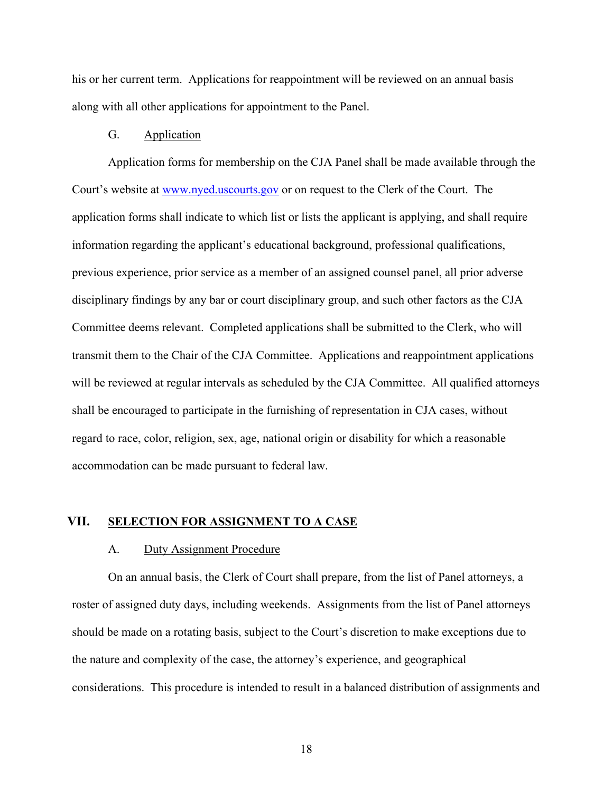his or her current term. Applications for reappointment will be reviewed on an annual basis along with all other applications for appointment to the Panel.

### G. Application

<span id="page-19-0"></span>Application forms for membership on the CJA Panel shall be made available through the Court's website at www.nyed.uscourts.gov or on request to the Clerk of the Court. The application forms shall indicate to which list or lists the applicant is applying, and shall require information regarding the applicant's educational background, professional qualifications, previous experience, prior service as a member of an assigned counsel panel, all prior adverse disciplinary findings by any bar or court disciplinary group, and such other factors as the CJA Committee deems relevant. Completed applications shall be submitted to the Clerk, who will transmit them to the Chair of the CJA Committee. Applications and reappointment applications will be reviewed at regular intervals as scheduled by the CJA Committee. All qualified attorneys shall be encouraged to participate in the furnishing of representation in CJA cases, without regard to race, color, religion, sex, age, national origin or disability for which a reasonable accommodation can be made pursuant to federal law.

### <span id="page-19-2"></span><span id="page-19-1"></span>**VII. SELECTION FOR ASSIGNMENT TO A CASE**

#### A. Duty Assignment Procedure

On an annual basis, the Clerk of Court shall prepare, from the list of Panel attorneys, a roster of assigned duty days, including weekends. Assignments from the list of Panel attorneys should be made on a rotating basis, subject to the Court's discretion to make exceptions due to the nature and complexity of the case, the attorney's experience, and geographical considerations. This procedure is intended to result in a balanced distribution of assignments and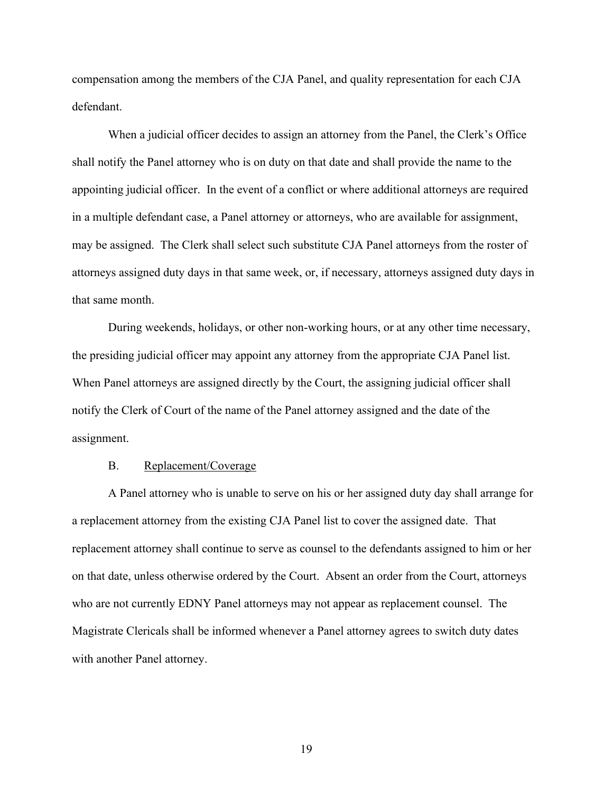compensation among the members of the CJA Panel, and quality representation for each CJA defendant.

When a judicial officer decides to assign an attorney from the Panel, the Clerk's Office shall notify the Panel attorney who is on duty on that date and shall provide the name to the appointing judicial officer. In the event of a conflict or where additional attorneys are required in a multiple defendant case, a Panel attorney or attorneys, who are available for assignment, may be assigned. The Clerk shall select such substitute CJA Panel attorneys from the roster of attorneys assigned duty days in that same week, or, if necessary, attorneys assigned duty days in that same month.

During weekends, holidays, or other non-working hours, or at any other time necessary, the presiding judicial officer may appoint any attorney from the appropriate CJA Panel list. When Panel attorneys are assigned directly by the Court, the assigning judicial officer shall notify the Clerk of Court of the name of the Panel attorney assigned and the date of the assignment.

#### B. Replacement/Coverage

<span id="page-20-0"></span>A Panel attorney who is unable to serve on his or her assigned duty day shall arrange for a replacement attorney from the existing CJA Panel list to cover the assigned date. That replacement attorney shall continue to serve as counsel to the defendants assigned to him or her on that date, unless otherwise ordered by the Court. Absent an order from the Court, attorneys who are not currently EDNY Panel attorneys may not appear as replacement counsel. The Magistrate Clericals shall be informed whenever a Panel attorney agrees to switch duty dates with another Panel attorney.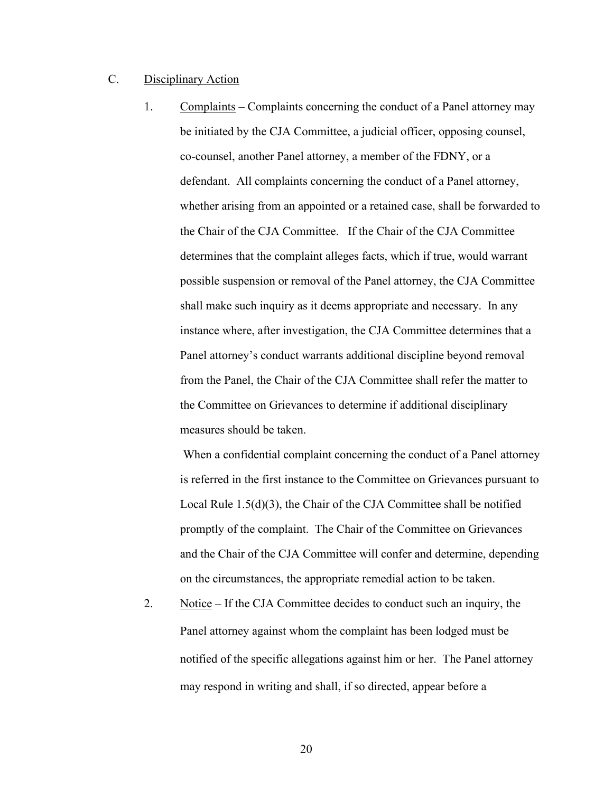## <span id="page-21-0"></span>C. Disciplinary Action

1. Complaints – Complaints concerning the conduct of a Panel attorney may be initiated by the CJA Committee, a judicial officer, opposing counsel, co-counsel, another Panel attorney, a member of the FDNY, or a defendant. All complaints concerning the conduct of a Panel attorney, whether arising from an appointed or a retained case, shall be forwarded to the Chair of the CJA Committee. If the Chair of the CJA Committee determines that the complaint alleges facts, which if true, would warrant possible suspension or removal of the Panel attorney, the CJA Committee shall make such inquiry as it deems appropriate and necessary. In any instance where, after investigation, the CJA Committee determines that a Panel attorney's conduct warrants additional discipline beyond removal from the Panel, the Chair of the CJA Committee shall refer the matter to the Committee on Grievances to determine if additional disciplinary measures should be taken.

When a confidential complaint concerning the conduct of a Panel attorney is referred in the first instance to the Committee on Grievances pursuant to Local Rule 1.5(d)(3), the Chair of the CJA Committee shall be notified promptly of the complaint. The Chair of the Committee on Grievances and the Chair of the CJA Committee will confer and determine, depending on the circumstances, the appropriate remedial action to be taken.

2. Notice – If the CJA Committee decides to conduct such an inquiry, the Panel attorney against whom the complaint has been lodged must be notified of the specific allegations against him or her. The Panel attorney may respond in writing and shall, if so directed, appear before a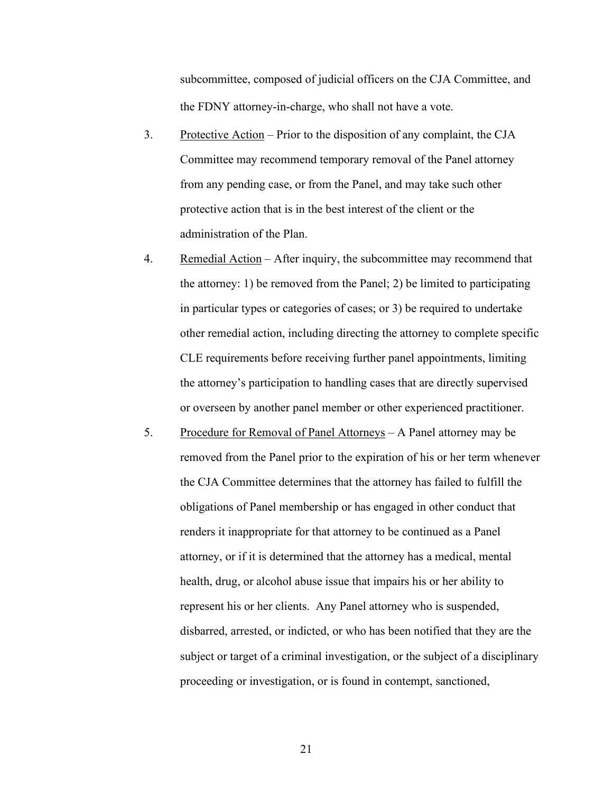subcommittee, composed of judicial officers on the CJA Committee, and the FDNY attorney-in-charge, who shall not have a vote.

- 3. Protective Action Prior to the disposition of any complaint, the CJA Committee may recommend temporary removal of the Panel attorney from any pending case, or from the Panel, and may take such other protective action that is in the best interest of the client or the administration of the Plan.
- 4. Remedial Action After inquiry, the subcommittee may recommend that the attorney: 1) be removed from the Panel; 2) be limited to participating in particular types or categories of cases; or 3) be required to undertake other remedial action, including directing the attorney to complete specific CLE requirements before receiving further panel appointments, limiting the attorney's participation to handling cases that are directly supervised or overseen by another panel member or other experienced practitioner.
- 5. Procedure for Removal of Panel Attorneys A Panel attorney may be removed from the Panel prior to the expiration of his or her term whenever the CJA Committee determines that the attorney has failed to fulfill the obligations of Panel membership or has engaged in other conduct that renders it inappropriate for that attorney to be continued as a Panel attorney, or if it is determined that the attorney has a medical, mental health, drug, or alcohol abuse issue that impairs his or her ability to represent his or her clients. Any Panel attorney who is suspended, disbarred, arrested, or indicted, or who has been notified that they are the subject or target of a criminal investigation, or the subject of a disciplinary proceeding or investigation, or is found in contempt, sanctioned,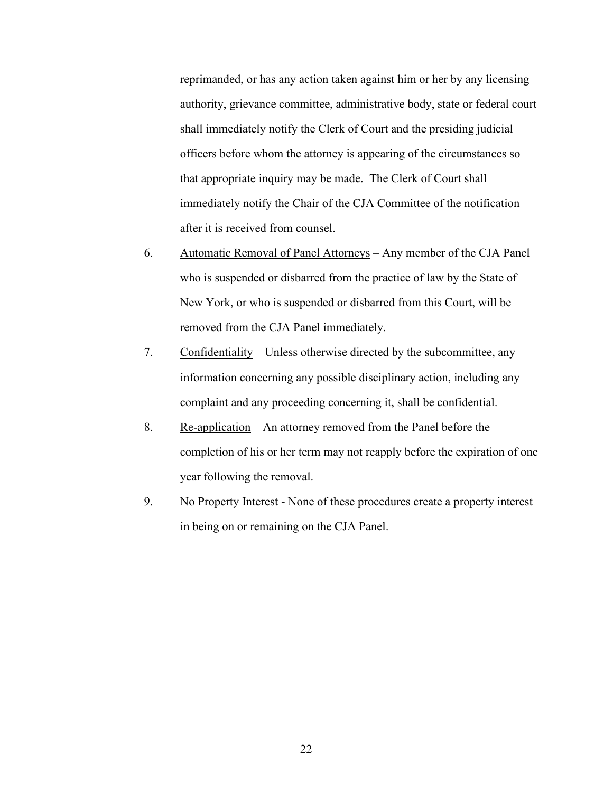reprimanded, or has any action taken against him or her by any licensing authority, grievance committee, administrative body, state or federal court shall immediately notify the Clerk of Court and the presiding judicial officers before whom the attorney is appearing of the circumstances so that appropriate inquiry may be made. The Clerk of Court shall immediately notify the Chair of the CJA Committee of the notification after it is received from counsel.

- 6. Automatic Removal of Panel Attorneys Any member of the CJA Panel who is suspended or disbarred from the practice of law by the State of New York, or who is suspended or disbarred from this Court, will be removed from the CJA Panel immediately.
- 7. Confidentiality Unless otherwise directed by the subcommittee, any information concerning any possible disciplinary action, including any complaint and any proceeding concerning it, shall be confidential.
- 8. Re-application An attorney removed from the Panel before the completion of his or her term may not reapply before the expiration of one year following the removal.
- 9. No Property Interest None of these procedures create a property interest in being on or remaining on the CJA Panel.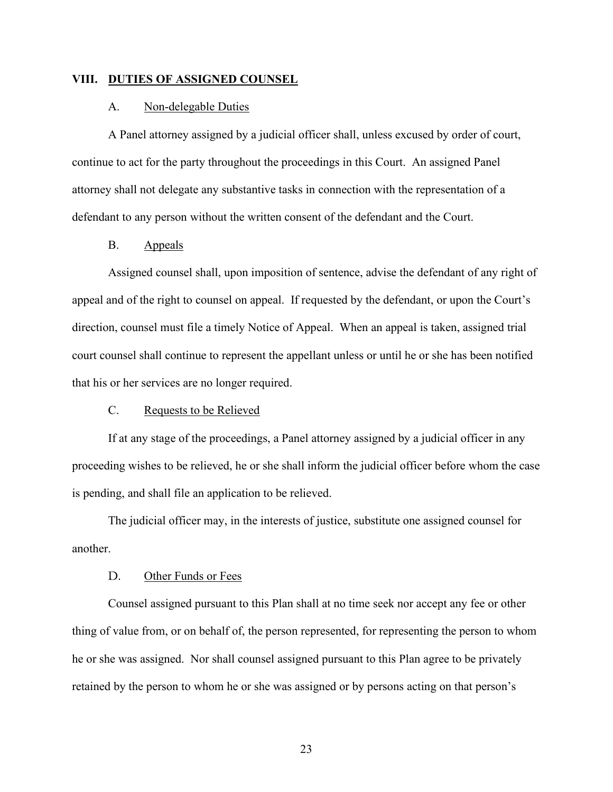#### <span id="page-24-1"></span><span id="page-24-0"></span>**VIII. DUTIES OF ASSIGNED COUNSEL**

### A. Non-delegable Duties

A Panel attorney assigned by a judicial officer shall, unless excused by order of court, continue to act for the party throughout the proceedings in this Court. An assigned Panel attorney shall not delegate any substantive tasks in connection with the representation of a defendant to any person without the written consent of the defendant and the Court.

### B. Appeals

<span id="page-24-2"></span>Assigned counsel shall, upon imposition of sentence, advise the defendant of any right of appeal and of the right to counsel on appeal. If requested by the defendant, or upon the Court's direction, counsel must file a timely Notice of Appeal. When an appeal is taken, assigned trial court counsel shall continue to represent the appellant unless or until he or she has been notified that his or her services are no longer required.

### C. Requests to be Relieved

<span id="page-24-3"></span>If at any stage of the proceedings, a Panel attorney assigned by a judicial officer in any proceeding wishes to be relieved, he or she shall inform the judicial officer before whom the case is pending, and shall file an application to be relieved.

The judicial officer may, in the interests of justice, substitute one assigned counsel for another.

#### D. Other Funds or Fees

<span id="page-24-4"></span>Counsel assigned pursuant to this Plan shall at no time seek nor accept any fee or other thing of value from, or on behalf of, the person represented, for representing the person to whom he or she was assigned. Nor shall counsel assigned pursuant to this Plan agree to be privately retained by the person to whom he or she was assigned or by persons acting on that person's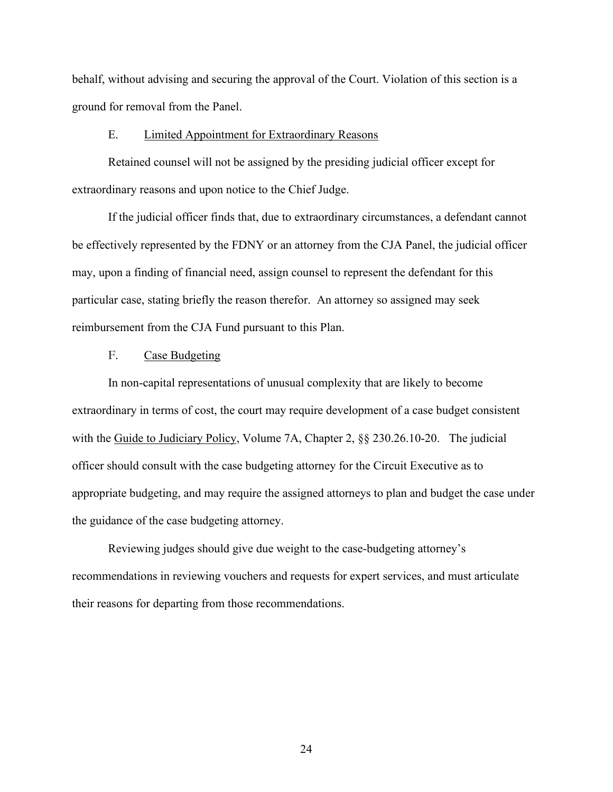behalf, without advising and securing the approval of the Court. Violation of this section is a ground for removal from the Panel.

#### E. Limited Appointment for Extraordinary Reasons

<span id="page-25-0"></span>Retained counsel will not be assigned by the presiding judicial officer except for extraordinary reasons and upon notice to the Chief Judge.

If the judicial officer finds that, due to extraordinary circumstances, a defendant cannot be effectively represented by the FDNY or an attorney from the CJA Panel, the judicial officer may, upon a finding of financial need, assign counsel to represent the defendant for this particular case, stating briefly the reason therefor. An attorney so assigned may seek reimbursement from the CJA Fund pursuant to this Plan.

### F. Case Budgeting

<span id="page-25-1"></span>In non-capital representations of unusual complexity that are likely to become extraordinary in terms of cost, the court may require development of a case budget consistent with the Guide to Judiciary Policy, Volume 7A, Chapter 2, §§ 230.26.10-20. The judicial officer should consult with the case budgeting attorney for the Circuit Executive as to appropriate budgeting, and may require the assigned attorneys to plan and budget the case under the guidance of the case budgeting attorney.

Reviewing judges should give due weight to the case-budgeting attorney's recommendations in reviewing vouchers and requests for expert services, and must articulate their reasons for departing from those recommendations.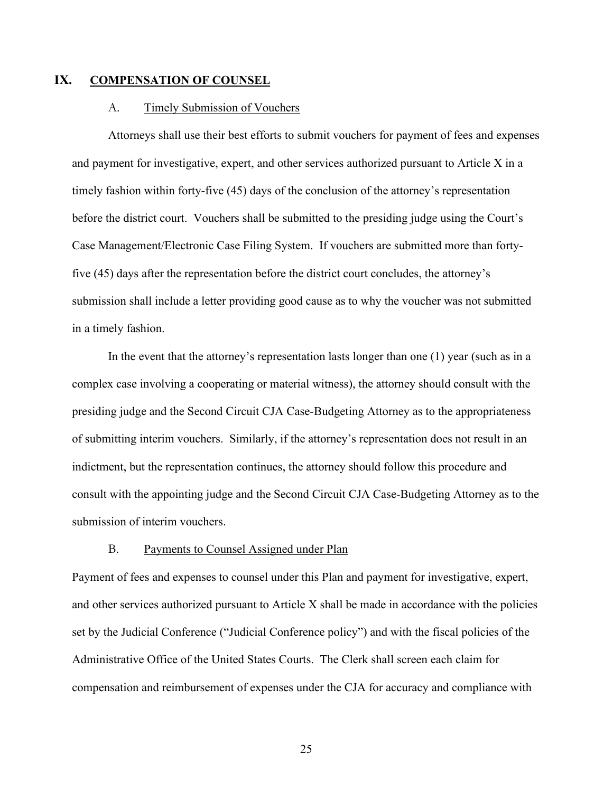## <span id="page-26-0"></span>**IX. COMPENSATION OF COUNSEL**

#### A. Timely Submission of Vouchers

<span id="page-26-1"></span>Attorneys shall use their best efforts to submit vouchers for payment of fees and expenses and payment for investigative, expert, and other services authorized pursuant to Article X in a timely fashion within forty-five (45) days of the conclusion of the attorney's representation before the district court. Vouchers shall be submitted to the presiding judge using the Court's Case Management/Electronic Case Filing System. If vouchers are submitted more than fortyfive (45) days after the representation before the district court concludes, the attorney's submission shall include a letter providing good cause as to why the voucher was not submitted in a timely fashion.

In the event that the attorney's representation lasts longer than one (1) year (such as in a complex case involving a cooperating or material witness), the attorney should consult with the presiding judge and the Second Circuit CJA Case-Budgeting Attorney as to the appropriateness of submitting interim vouchers. Similarly, if the attorney's representation does not result in an indictment, but the representation continues, the attorney should follow this procedure and consult with the appointing judge and the Second Circuit CJA Case-Budgeting Attorney as to the submission of interim vouchers.

### B. Payments to Counsel Assigned under Plan

<span id="page-26-2"></span>Payment of fees and expenses to counsel under this Plan and payment for investigative, expert, and other services authorized pursuant to Article X shall be made in accordance with the policies set by the Judicial Conference ("Judicial Conference policy") and with the fiscal policies of the Administrative Office of the United States Courts. The Clerk shall screen each claim for compensation and reimbursement of expenses under the CJA for accuracy and compliance with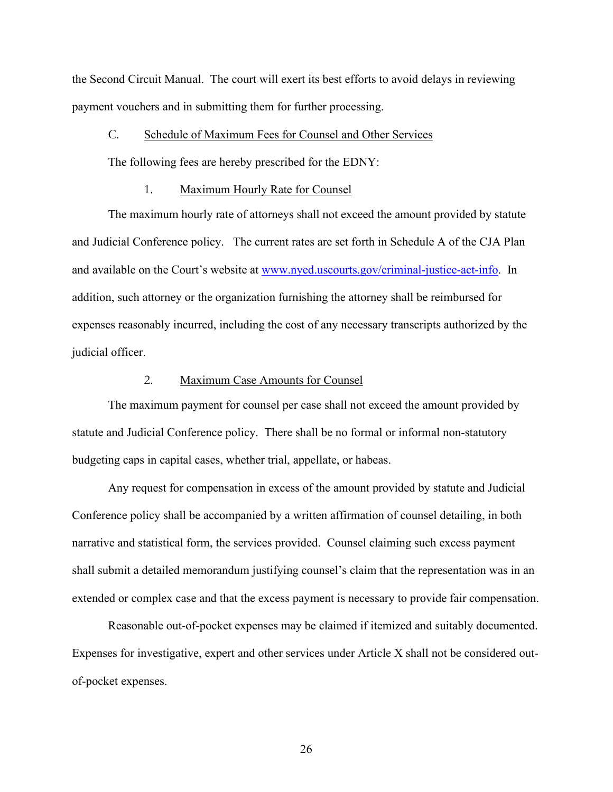the Second Circuit Manual. The court will exert its best efforts to avoid delays in reviewing payment vouchers and in submitting them for further processing.

## <span id="page-27-0"></span>C. Schedule of Maximum Fees for Counsel and Other Services

The following fees are hereby prescribed for the EDNY:

#### 1. Maximum Hourly Rate for Counsel

The maximum hourly rate of attorneys shall not exceed the amount provided by statute and Judicial Conference policy. The current rates are set forth in Schedule A of the CJA Plan and available on the Court's website at [www.nyed.uscourts.gov/criminal-justice-act-info.](http://www.nyed.uscourts.gov/criminal-justice-act-info) In addition, such attorney or the organization furnishing the attorney shall be reimbursed for expenses reasonably incurred, including the cost of any necessary transcripts authorized by the judicial officer.

## 2. Maximum Case Amounts for Counsel

The maximum payment for counsel per case shall not exceed the amount provided by statute and Judicial Conference policy. There shall be no formal or informal non-statutory budgeting caps in capital cases, whether trial, appellate, or habeas.

Any request for compensation in excess of the amount provided by statute and Judicial Conference policy shall be accompanied by a written affirmation of counsel detailing, in both narrative and statistical form, the services provided. Counsel claiming such excess payment shall submit a detailed memorandum justifying counsel's claim that the representation was in an extended or complex case and that the excess payment is necessary to provide fair compensation.

Reasonable out-of-pocket expenses may be claimed if itemized and suitably documented. Expenses for investigative, expert and other services under Article X shall not be considered outof-pocket expenses.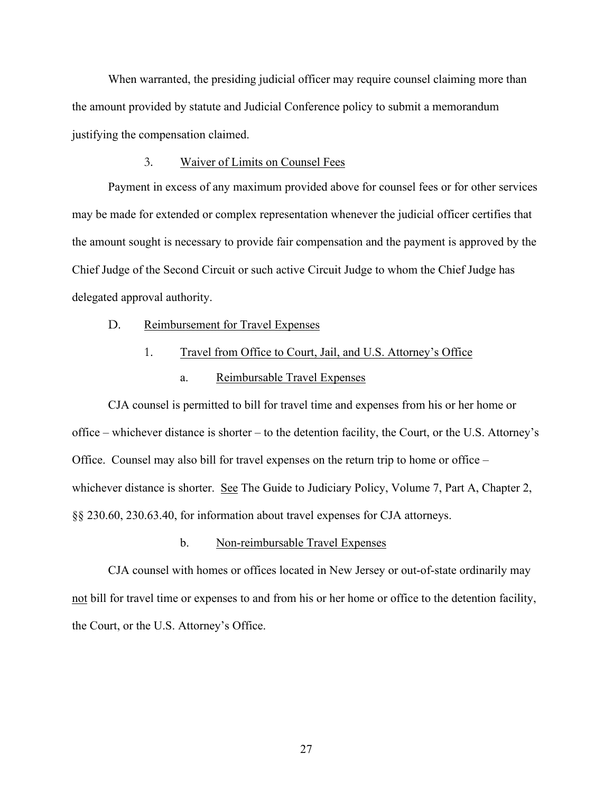When warranted, the presiding judicial officer may require counsel claiming more than the amount provided by statute and Judicial Conference policy to submit a memorandum justifying the compensation claimed.

### 3. Waiver of Limits on Counsel Fees

Payment in excess of any maximum provided above for counsel fees or for other services may be made for extended or complex representation whenever the judicial officer certifies that the amount sought is necessary to provide fair compensation and the payment is approved by the Chief Judge of the Second Circuit or such active Circuit Judge to whom the Chief Judge has delegated approval authority.

### <span id="page-28-0"></span>D. Reimbursement for Travel Expenses

## 1. Travel from Office to Court, Jail, and U.S. Attorney's Office

a. Reimbursable Travel Expenses

CJA counsel is permitted to bill for travel time and expenses from his or her home or office – whichever distance is shorter – to the detention facility, the Court, or the U.S. Attorney's Office. Counsel may also bill for travel expenses on the return trip to home or office – whichever distance is shorter. See The Guide to Judiciary Policy, Volume 7, Part A, Chapter 2, §§ 230.60, 230.63.40, for information about travel expenses for CJA attorneys.

#### b. Non-reimbursable Travel Expenses

CJA counsel with homes or offices located in New Jersey or out-of-state ordinarily may not bill for travel time or expenses to and from his or her home or office to the detention facility, the Court, or the U.S. Attorney's Office.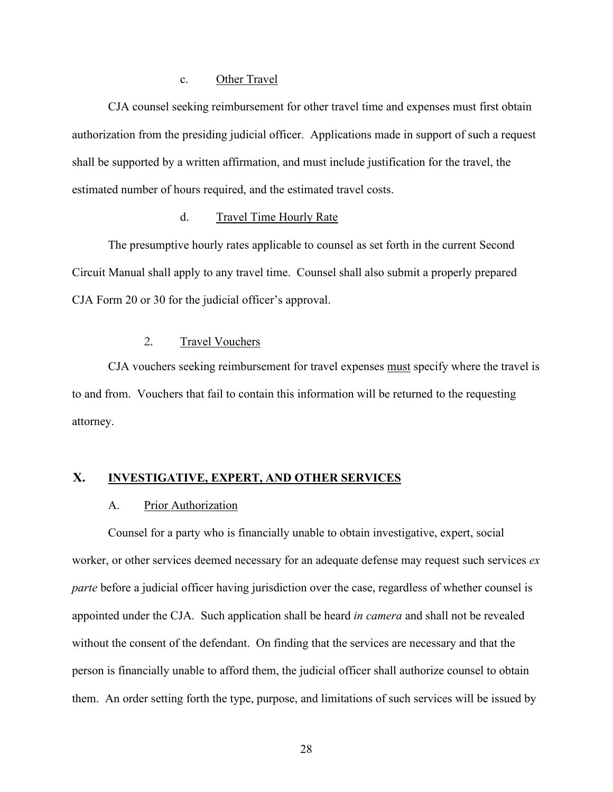### c. Other Travel

CJA counsel seeking reimbursement for other travel time and expenses must first obtain authorization from the presiding judicial officer. Applications made in support of such a request shall be supported by a written affirmation, and must include justification for the travel, the estimated number of hours required, and the estimated travel costs.

### d. Travel Time Hourly Rate

The presumptive hourly rates applicable to counsel as set forth in the current Second Circuit Manual shall apply to any travel time. Counsel shall also submit a properly prepared CJA Form 20 or 30 for the judicial officer's approval.

## 2. Travel Vouchers

CJA vouchers seeking reimbursement for travel expenses must specify where the travel is to and from. Vouchers that fail to contain this information will be returned to the requesting attorney.

## <span id="page-29-1"></span><span id="page-29-0"></span>**X. INVESTIGATIVE, EXPERT, AND OTHER SERVICES**

### A. Prior Authorization

Counsel for a party who is financially unable to obtain investigative, expert, social worker, or other services deemed necessary for an adequate defense may request such services *ex parte* before a judicial officer having jurisdiction over the case, regardless of whether counsel is appointed under the CJA. Such application shall be heard *in camera* and shall not be revealed without the consent of the defendant. On finding that the services are necessary and that the person is financially unable to afford them, the judicial officer shall authorize counsel to obtain them. An order setting forth the type, purpose, and limitations of such services will be issued by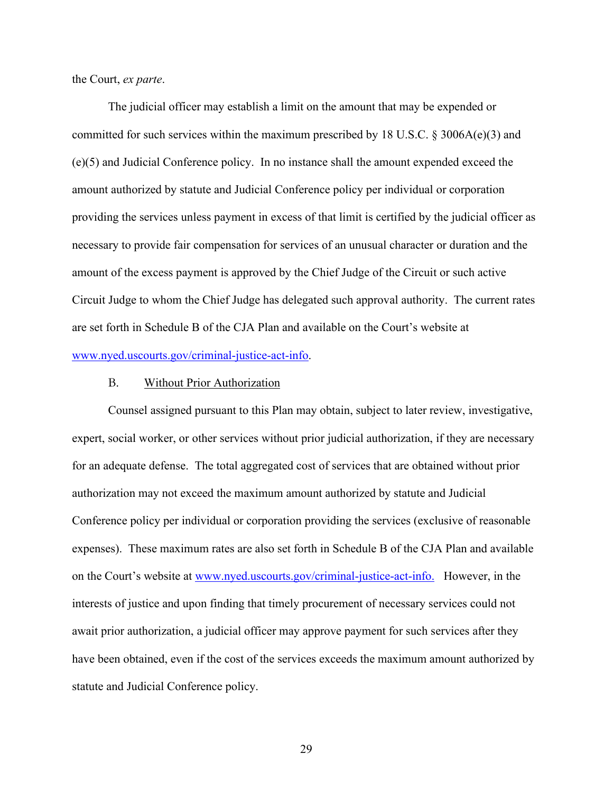the Court, *ex parte*.

The judicial officer may establish a limit on the amount that may be expended or committed for such services within the maximum prescribed by 18 U.S.C. § 3006A(e)(3) and (e)(5) and Judicial Conference policy. In no instance shall the amount expended exceed the amount authorized by statute and Judicial Conference policy per individual or corporation providing the services unless payment in excess of that limit is certified by the judicial officer as necessary to provide fair compensation for services of an unusual character or duration and the amount of the excess payment is approved by the Chief Judge of the Circuit or such active Circuit Judge to whom the Chief Judge has delegated such approval authority. The current rates are set forth in Schedule B of the CJA Plan and available on the Court's website at [www.nyed.uscourts.gov/criminal-justice-act-info.](http://www.nyed.uscourts.gov/criminal-justice-act-info)

#### B. Without Prior Authorization

<span id="page-30-0"></span>Counsel assigned pursuant to this Plan may obtain, subject to later review, investigative, expert, social worker, or other services without prior judicial authorization, if they are necessary for an adequate defense. The total aggregated cost of services that are obtained without prior authorization may not exceed the maximum amount authorized by statute and Judicial Conference policy per individual or corporation providing the services (exclusive of reasonable expenses). These maximum rates are also set forth in Schedule B of the CJA Plan and available on the Court's website at [www.nyed.uscourts.gov/criminal-justice-act-info.](http://www.nyed.uscourts.gov/criminal-justice-act-info) However, in the interests of justice and upon finding that timely procurement of necessary services could not await prior authorization, a judicial officer may approve payment for such services after they have been obtained, even if the cost of the services exceeds the maximum amount authorized by statute and Judicial Conference policy.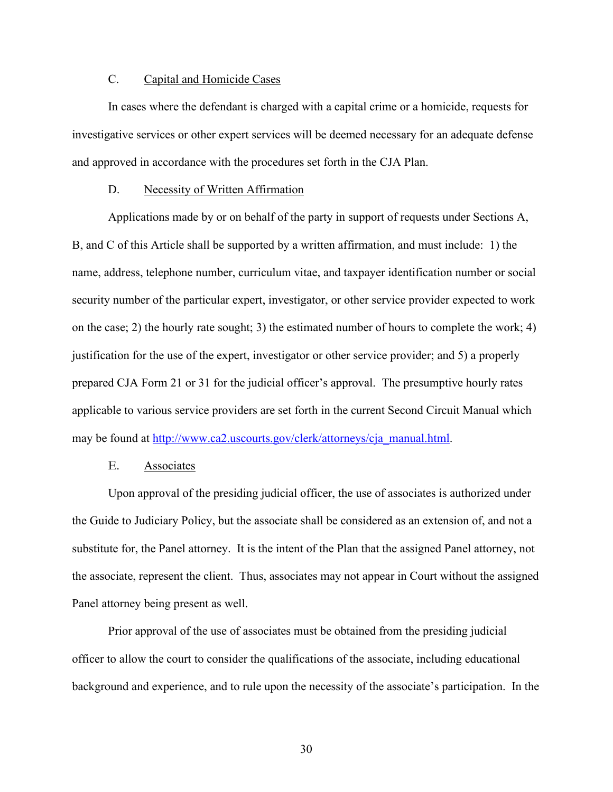## C. Capital and Homicide Cases

<span id="page-31-0"></span>In cases where the defendant is charged with a capital crime or a homicide, requests for investigative services or other expert services will be deemed necessary for an adequate defense and approved in accordance with the procedures set forth in the CJA Plan.

### D. Necessity of Written Affirmation

<span id="page-31-1"></span>Applications made by or on behalf of the party in support of requests under Sections A, B, and C of this Article shall be supported by a written affirmation, and must include: 1) the name, address, telephone number, curriculum vitae, and taxpayer identification number or social security number of the particular expert, investigator, or other service provider expected to work on the case; 2) the hourly rate sought; 3) the estimated number of hours to complete the work; 4) justification for the use of the expert, investigator or other service provider; and 5) a properly prepared CJA Form 21 or 31 for the judicial officer's approval. The presumptive hourly rates applicable to various service providers are set forth in the current Second Circuit Manual which may be found at [http://www.ca2.uscourts.gov/clerk/attorneys/cja\\_manual.html.](http://www.ca2.uscourts.gov/clerk/attorneys/cja_manual.html)

### E. Associates

<span id="page-31-2"></span>Upon approval of the presiding judicial officer, the use of associates is authorized under the Guide to Judiciary Policy, but the associate shall be considered as an extension of, and not a substitute for, the Panel attorney. It is the intent of the Plan that the assigned Panel attorney, not the associate, represent the client. Thus, associates may not appear in Court without the assigned Panel attorney being present as well.

Prior approval of the use of associates must be obtained from the presiding judicial officer to allow the court to consider the qualifications of the associate, including educational background and experience, and to rule upon the necessity of the associate's participation. In the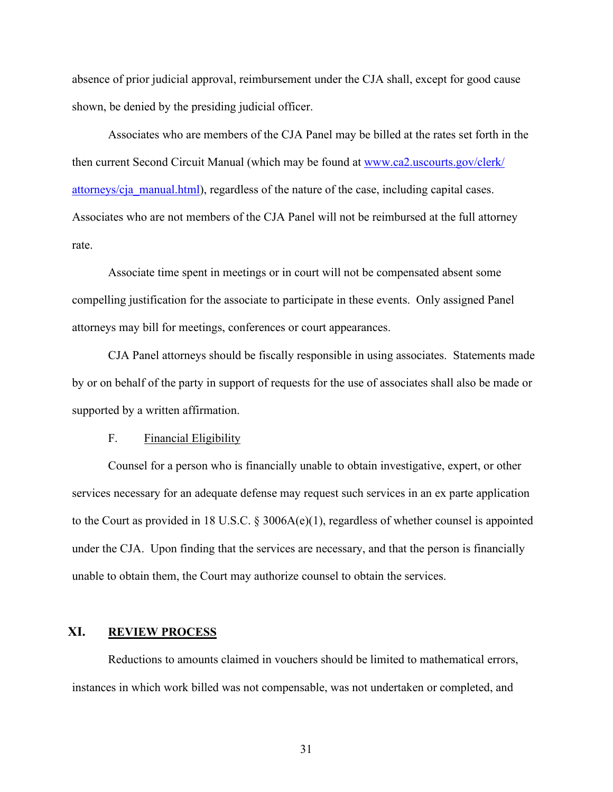absence of prior judicial approval, reimbursement under the CJA shall, except for good cause shown, be denied by the presiding judicial officer.

Associates who are members of the CJA Panel may be billed at the rates set forth in the then current Second Circuit Manual (which may be found at [www.ca2.uscourts.gov/clerk/](https://www.ca2.uscourts.gov/clerk/attorneys/cja_manual.html) [attorneys/cja\\_manual.html\)](https://www.ca2.uscourts.gov/clerk/attorneys/cja_manual.html), regardless of the nature of the case, including capital cases. Associates who are not members of the CJA Panel will not be reimbursed at the full attorney rate.

Associate time spent in meetings or in court will not be compensated absent some compelling justification for the associate to participate in these events. Only assigned Panel attorneys may bill for meetings, conferences or court appearances.

CJA Panel attorneys should be fiscally responsible in using associates. Statements made by or on behalf of the party in support of requests for the use of associates shall also be made or supported by a written affirmation.

### F. Financial Eligibility

<span id="page-32-0"></span>Counsel for a person who is financially unable to obtain investigative, expert, or other services necessary for an adequate defense may request such services in an ex parte application to the Court as provided in 18 U.S.C. § 3006A(e)(1), regardless of whether counsel is appointed under the CJA. Upon finding that the services are necessary, and that the person is financially unable to obtain them, the Court may authorize counsel to obtain the services.

### <span id="page-32-1"></span>**XI. REVIEW PROCESS**

Reductions to amounts claimed in vouchers should be limited to mathematical errors, instances in which work billed was not compensable, was not undertaken or completed, and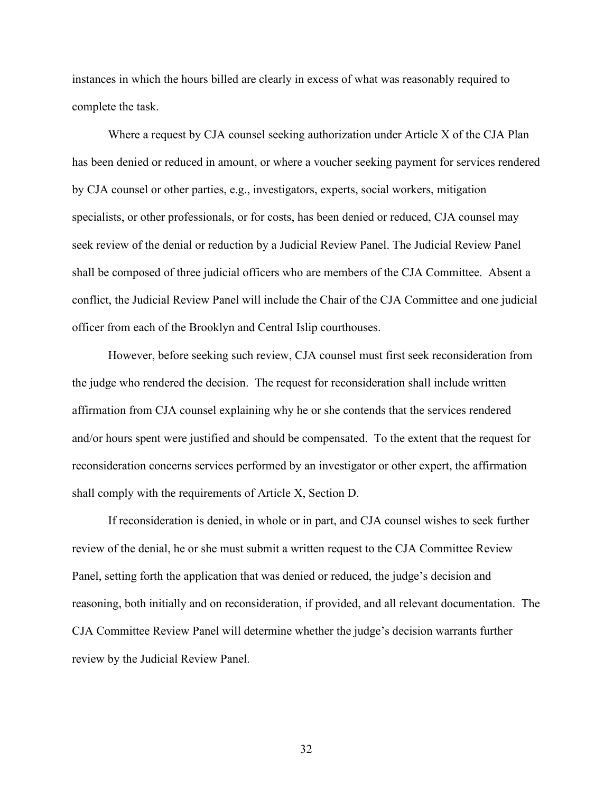instances in which the hours billed are clearly in excess of what was reasonably required to complete the task.

Where a request by CJA counsel seeking authorization under Article X of the CJA Plan has been denied or reduced in amount, or where a voucher seeking payment for services rendered by CJA counsel or other parties, e.g., investigators, experts, social workers, mitigation specialists, or other professionals, or for costs, has been denied or reduced, CJA counsel may seek review of the denial or reduction by a Judicial Review Panel. The Judicial Review Panel shall be composed of three judicial officers who are members of the CJA Committee. Absent a conflict, the Judicial Review Panel will include the Chair of the CJA Committee and one judicial officer from each of the Brooklyn and Central Islip courthouses.

However, before seeking such review, CJA counsel must first seek reconsideration from the judge who rendered the decision. The request for reconsideration shall include written affirmation from CJA counsel explaining why he or she contends that the services rendered and/or hours spent were justified and should be compensated. To the extent that the request for reconsideration concerns services performed by an investigator or other expert, the affirmation shall comply with the requirements of Article X, Section D.

If reconsideration is denied, in whole or in part, and CJA counsel wishes to seek further review of the denial, he or she must submit a written request to the CJA Committee Review Panel, setting forth the application that was denied or reduced, the judge's decision and reasoning, both initially and on reconsideration, if provided, and all relevant documentation. The CJA Committee Review Panel will determine whether the judge's decision warrants further review by the Judicial Review Panel.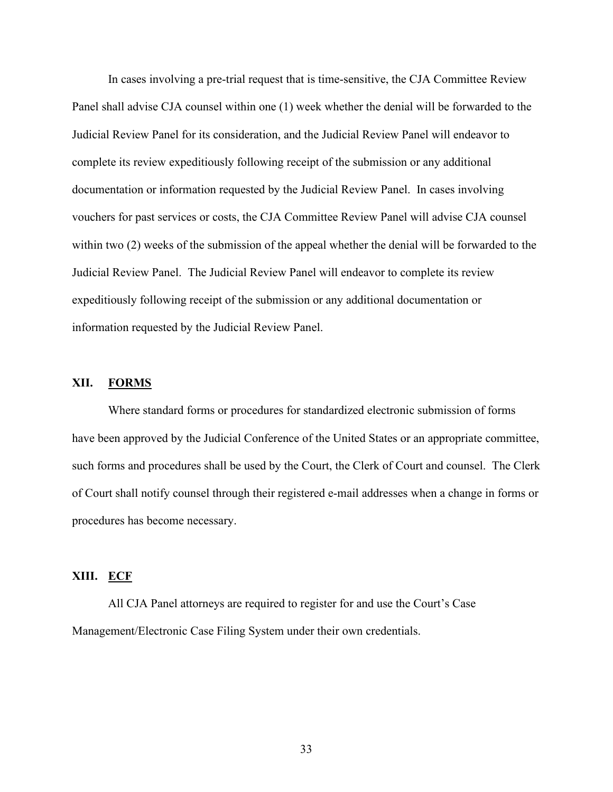In cases involving a pre-trial request that is time-sensitive, the CJA Committee Review Panel shall advise CJA counsel within one (1) week whether the denial will be forwarded to the Judicial Review Panel for its consideration, and the Judicial Review Panel will endeavor to complete its review expeditiously following receipt of the submission or any additional documentation or information requested by the Judicial Review Panel. In cases involving vouchers for past services or costs, the CJA Committee Review Panel will advise CJA counsel within two (2) weeks of the submission of the appeal whether the denial will be forwarded to the Judicial Review Panel. The Judicial Review Panel will endeavor to complete its review expeditiously following receipt of the submission or any additional documentation or information requested by the Judicial Review Panel.

### <span id="page-34-0"></span>**XII. FORMS**

Where standard forms or procedures for standardized electronic submission of forms have been approved by the Judicial Conference of the United States or an appropriate committee, such forms and procedures shall be used by the Court, the Clerk of Court and counsel. The Clerk of Court shall notify counsel through their registered e-mail addresses when a change in forms or procedures has become necessary.

## <span id="page-34-1"></span>**XIII. ECF**

All CJA Panel attorneys are required to register for and use the Court's Case Management/Electronic Case Filing System under their own credentials.